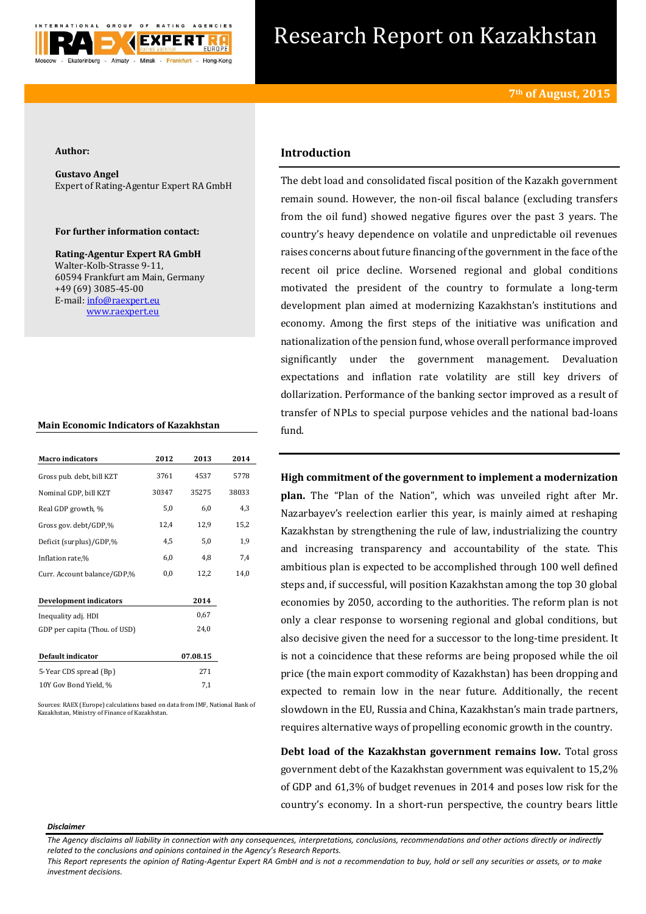

# Research Report on Kazakhstan

### **Author:**

**Gustavo Angel** Expert of Rating-Agentur Expert RA GmbH

## **For further information contact:**

**Rating-Agentur Expert RA GmbH** Walter-Kolb-Strasse 9-11, 60594 Frankfurt am Main, Germany +49 (69) 3085-45-00 E-mail[: info@raexpert.eu](mailto:info@raexpert.eu) [www.raexpert.eu](http://raexpert.eu/)

## **Main Economic Indicators of Kazakhstan**

| <b>Macro</b> indicators       | 2012  | 2013     | 2014  |
|-------------------------------|-------|----------|-------|
| Gross pub. debt, bill KZT     | 3761  | 4537     | 5778  |
| Nominal GDP, bill KZT         | 30347 | 35275    | 38033 |
| Real GDP growth, %            | 5,0   | 6,0      | 4,3   |
| Gross gov. debt/GDP,%         | 12,4  | 12,9     | 15,2  |
| Deficit (surplus)/GDP,%       | 4,5   | 5,0      | 1,9   |
| Inflation rate,%              | 6,0   | 4,8      | 7,4   |
| Curr. Account balance/GDP,%   | 0,0   | 12,2     | 14,0  |
|                               |       |          |       |
| <b>Development indicators</b> |       | 2014     |       |
| Inequality adj. HDI           |       | 0,67     |       |
| GDP per capita (Thou. of USD) |       | 24,0     |       |
|                               |       |          |       |
| Default indicator             |       | 07.08.15 |       |
| 5-Year CDS spread (Bp)        |       | 271      |       |
| 10Y Gov Bond Yield, %         |       | 7,1      |       |
|                               |       |          |       |

Sources: RAEX (Europe) calculations based on data from IMF, National Bank of Kazakhstan, Ministry of Finance of Kazakhstan.

# **Introduction**

The debt load and consolidated fiscal position of the Kazakh government remain sound. However, the non-oil fiscal balance (excluding transfers from the oil fund) showed negative figures over the past 3 years. The country's heavy dependence on volatile and unpredictable oil revenues raises concerns about future financing of the government in the face of the recent oil price decline. Worsened regional and global conditions motivated the president of the country to formulate a long-term development plan aimed at modernizing Kazakhstan's institutions and economy. Among the first steps of the initiative was unification and nationalization of the pension fund, whose overall performance improved significantly under the government management. Devaluation expectations and inflation rate volatility are still key drivers of dollarization. Performance of the banking sector improved as a result of transfer of NPLs to special purpose vehicles and the national bad-loans fund.

**High commitment of the government to implement a modernization plan.** The "Plan of the Nation", which was unveiled right after Mr. Nazarbayev's reelection earlier this year, is mainly aimed at reshaping Kazakhstan by strengthening the rule of law, industrializing the country and increasing transparency and accountability of the state. This ambitious plan is expected to be accomplished through 100 well defined steps and, if successful, will position Kazakhstan among the top 30 global economies by 2050, according to the authorities. The reform plan is not only a clear response to worsening regional and global conditions, but also decisive given the need for a successor to the long-time president. It is not a coincidence that these reforms are being proposed while the oil price (the main export commodity of Kazakhstan) has been dropping and expected to remain low in the near future. Additionally, the recent slowdown in the EU, Russia and China, Kazakhstan's main trade partners, requires alternative ways of propelling economic growth in the country.

**Debt load of the Kazakhstan government remains low.** Total gross government debt of the Kazakhstan government was equivalent to 15,2% of GDP and 61,3% of budget revenues in 2014 and poses low risk for the country's economy. In a short-run perspective, the country bears little

#### *Disclaimer*

*This Report represents the opinion of Rating-Agentur Expert RA GmbH and is not a recommendation to buy, hold or sell any securities or assets, or to make investment decisions.*

*The Agency disclaims all liability in connection with any consequences, interpretations, conclusions, recommendations and other actions directly or indirectly related to the conclusions and opinions contained in the Agency's Research Reports.*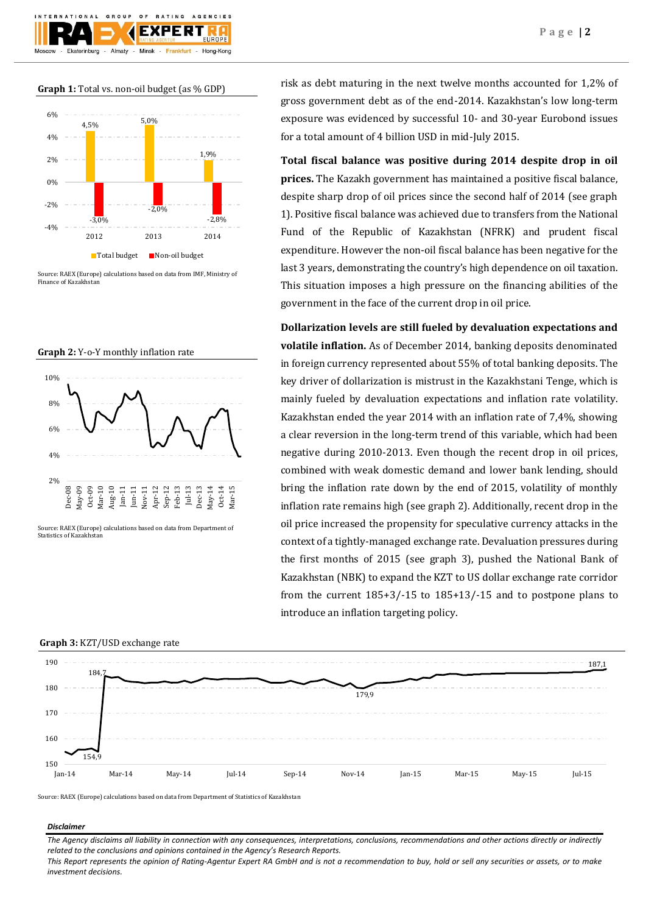

Source: RAEX (Europe) calculations based on data from IMF, Ministry of Finance of Kazakhstan

**Graph 2:** Y-o-Y monthly inflation rate



Source: RAEX (Europe) calculations based on data from Department of Statistics of Kazakhsta

risk as debt maturing in the next twelve months accounted for 1,2% of gross government debt as of the end-2014. Kazakhstan's low long-term exposure was evidenced by successful 10- and 30-year Eurobond issues for a total amount of 4 billion USD in mid-July 2015.

**Total fiscal balance was positive during 2014 despite drop in oil prices.** The Kazakh government has maintained a positive fiscal balance, despite sharp drop of oil prices since the second half of 2014 (see graph 1). Positive fiscal balance was achieved due to transfers from the National Fund of the Republic of Kazakhstan (NFRK) and prudent fiscal expenditure. However the non-oil fiscal balance has been negative for the last 3 years, demonstrating the country's high dependence on oil taxation. This situation imposes a high pressure on the financing abilities of the government in the face of the current drop in oil price.

**Dollarization levels are still fueled by devaluation expectations and volatile inflation.** As of December 2014, banking deposits denominated in foreign currency represented about 55% of total banking deposits. The key driver of dollarization is mistrust in the Kazakhstani Tenge, which is mainly fueled by devaluation expectations and inflation rate volatility. Kazakhstan ended the year 2014 with an inflation rate of 7,4%, showing a clear reversion in the long-term trend of this variable, which had been negative during 2010-2013. Even though the recent drop in oil prices, combined with weak domestic demand and lower bank lending, should bring the inflation rate down by the end of 2015, volatility of monthly inflation rate remains high (see graph 2). Additionally, recent drop in the oil price increased the propensity for speculative currency attacks in the context of a tightly-managed exchange rate. Devaluation pressures during the first months of 2015 (see graph 3), pushed the National Bank of Kazakhstan (NBK) to expand the KZT to US dollar exchange rate corridor from the current 185+3/-15 to 185+13/-15 and to postpone plans to introduce an inflation targeting policy.



Source: RAEX (Europe) calculations based on data from Department of Statistics of Kazakhstan

#### *Disclaimer*

*The Agency disclaims all liability in connection with any consequences, interpretations, conclusions, recommendations and other actions directly or indirectly related to the conclusions and opinions contained in the Agency's Research Reports.*

*This Report represents the opinion of Rating-Agentur Expert RA GmbH and is not a recommendation to buy, hold or sell any securities or assets, or to make investment decisions.*

# **Graph 3:** KZT/USD exchange rate